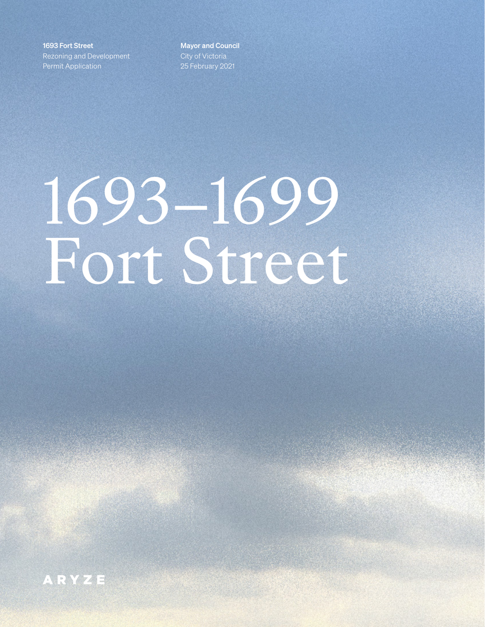1693 Fort Street Rezoning and Development Permit Application

Mayor and Council City of Victoria 25 February 2021

# 1693–1699 Fort Street

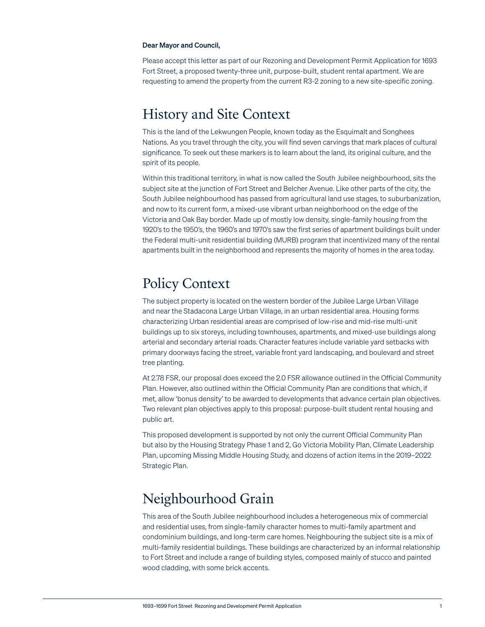#### Dear Mayor and Council,

Please accept this letter as part of our Rezoning and Development Permit Application for 1693 Fort Street, a proposed twenty-three unit, purpose-built, student rental apartment. We are requesting to amend the property from the current R3-2 zoning to a new site-specific zoning.

## History and Site Context

This is the land of the Lekwungen People, known today as the Esquimalt and Songhees Nations. As you travel through the city, you will find seven carvings that mark places of cultural significance. To seek out these markers is to learn about the land, its original culture, and the spirit of its people.

Within this traditional territory, in what is now called the South Jubilee neighbourhood, sits the subject site at the junction of Fort Street and Belcher Avenue. Like other parts of the city, the South Jubilee neighbourhood has passed from agricultural land use stages, to suburbanization, and now to its current form, a mixed-use vibrant urban neighborhood on the edge of the Victoria and Oak Bay border. Made up of mostly low density, single-family housing from the 1920's to the 1950's, the 1960's and 1970's saw the first series of apartment buildings built under the Federal multi-unit residential building (MURB) program that incentivized many of the rental apartments built in the neighborhood and represents the majority of homes in the area today.

## Policy Context

The subject property is located on the western border of the Jubilee Large Urban Village and near the Stadacona Large Urban Village, in an urban residential area. Housing forms characterizing Urban residential areas are comprised of low-rise and mid-rise multi-unit buildings up to six storeys, including townhouses, apartments, and mixed-use buildings along arterial and secondary arterial roads. Character features include variable yard setbacks with primary doorways facing the street, variable front yard landscaping, and boulevard and street tree planting.

At 2.78 FSR, our proposal does exceed the 2.0 FSR allowance outlined in the Official Community Plan. However, also outlined within the Official Community Plan are conditions that which, if met, allow 'bonus density' to be awarded to developments that advance certain plan objectives. Two relevant plan objectives apply to this proposal: purpose-built student rental housing and public art.

This proposed development is supported by not only the current Official Community Plan but also by the Housing Strategy Phase 1 and 2, Go Victoria Mobility Plan, Climate Leadership Plan, upcoming Missing Middle Housing Study, and dozens of action items in the 2019–2022 Strategic Plan.

## Neighbourhood Grain

This area of the South Jubilee neighbourhood includes a heterogeneous mix of commercial and residential uses, from single-family character homes to multi-family apartment and condominium buildings, and long-term care homes. Neighbouring the subject site is a mix of multi-family residential buildings. These buildings are characterized by an informal relationship to Fort Street and include a range of building styles, composed mainly of stucco and painted wood cladding, with some brick accents.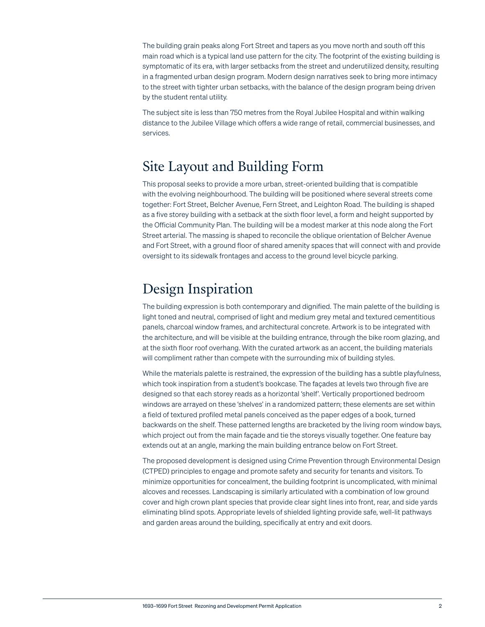The building grain peaks along Fort Street and tapers as you move north and south off this main road which is a typical land use pattern for the city. The footprint of the existing building is symptomatic of its era, with larger setbacks from the street and underutilized density, resulting in a fragmented urban design program. Modern design narratives seek to bring more intimacy to the street with tighter urban setbacks, with the balance of the design program being driven by the student rental utility.

The subject site is less than 750 metres from the Royal Jubilee Hospital and within walking distance to the Jubilee Village which offers a wide range of retail, commercial businesses, and services.

## Site Layout and Building Form

This proposal seeks to provide a more urban, street-oriented building that is compatible with the evolving neighbourhood. The building will be positioned where several streets come together: Fort Street, Belcher Avenue, Fern Street, and Leighton Road. The building is shaped as a five storey building with a setback at the sixth floor level, a form and height supported by the Official Community Plan. The building will be a modest marker at this node along the Fort Street arterial. The massing is shaped to reconcile the oblique orientation of Belcher Avenue and Fort Street, with a ground floor of shared amenity spaces that will connect with and provide oversight to its sidewalk frontages and access to the ground level bicycle parking.

## Design Inspiration

The building expression is both contemporary and dignified. The main palette of the building is light toned and neutral, comprised of light and medium grey metal and textured cementitious panels, charcoal window frames, and architectural concrete. Artwork is to be integrated with the architecture, and will be visible at the building entrance, through the bike room glazing, and at the sixth floor roof overhang. With the curated artwork as an accent, the building materials will compliment rather than compete with the surrounding mix of building styles.

While the materials palette is restrained, the expression of the building has a subtle playfulness, which took inspiration from a student's bookcase. The façades at levels two through five are designed so that each storey reads as a horizontal 'shelf'. Vertically proportioned bedroom windows are arrayed on these 'shelves' in a randomized pattern; these elements are set within a field of textured profiled metal panels conceived as the paper edges of a book, turned backwards on the shelf. These patterned lengths are bracketed by the living room window bays, which project out from the main façade and tie the storeys visually together. One feature bay extends out at an angle, marking the main building entrance below on Fort Street.

The proposed development is designed using Crime Prevention through Environmental Design (CTPED) principles to engage and promote safety and security for tenants and visitors. To minimize opportunities for concealment, the building footprint is uncomplicated, with minimal alcoves and recesses. Landscaping is similarly articulated with a combination of low ground cover and high crown plant species that provide clear sight lines into front, rear, and side yards eliminating blind spots. Appropriate levels of shielded lighting provide safe, well-lit pathways and garden areas around the building, specifically at entry and exit doors.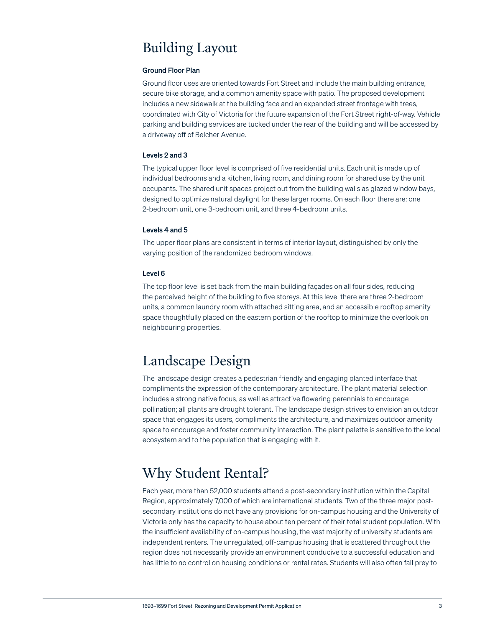# Building Layout

## Ground Floor Plan

Ground floor uses are oriented towards Fort Street and include the main building entrance, secure bike storage, and a common amenity space with patio. The proposed development includes a new sidewalk at the building face and an expanded street frontage with trees, coordinated with City of Victoria for the future expansion of the Fort Street right-of-way. Vehicle parking and building services are tucked under the rear of the building and will be accessed by a driveway off of Belcher Avenue.

## Levels 2 and 3

The typical upper floor level is comprised of five residential units. Each unit is made up of individual bedrooms and a kitchen, living room, and dining room for shared use by the unit occupants. The shared unit spaces project out from the building walls as glazed window bays, designed to optimize natural daylight for these larger rooms. On each floor there are: one 2-bedroom unit, one 3-bedroom unit, and three 4-bedroom units.

## Levels 4 and 5

The upper floor plans are consistent in terms of interior layout, distinguished by only the varying position of the randomized bedroom windows.

## Level 6

The top floor level is set back from the main building façades on all four sides, reducing the perceived height of the building to five storeys. At this level there are three 2-bedroom units, a common laundry room with attached sitting area, and an accessible rooftop amenity space thoughtfully placed on the eastern portion of the rooftop to minimize the overlook on neighbouring properties.

# Landscape Design

The landscape design creates a pedestrian friendly and engaging planted interface that compliments the expression of the contemporary architecture. The plant material selection includes a strong native focus, as well as attractive flowering perennials to encourage pollination; all plants are drought tolerant. The landscape design strives to envision an outdoor space that engages its users, compliments the architecture, and maximizes outdoor amenity space to encourage and foster community interaction. The plant palette is sensitive to the local ecosystem and to the population that is engaging with it.

# Why Student Rental?

Each year, more than 52,000 students attend a post-secondary institution within the Capital Region, approximately 7,000 of which are international students. Two of the three major postsecondary institutions do not have any provisions for on-campus housing and the University of Victoria only has the capacity to house about ten percent of their total student population. With the insufficient availability of on-campus housing, the vast majority of university students are independent renters. The unregulated, off-campus housing that is scattered throughout the region does not necessarily provide an environment conducive to a successful education and has little to no control on housing conditions or rental rates. Students will also often fall prey to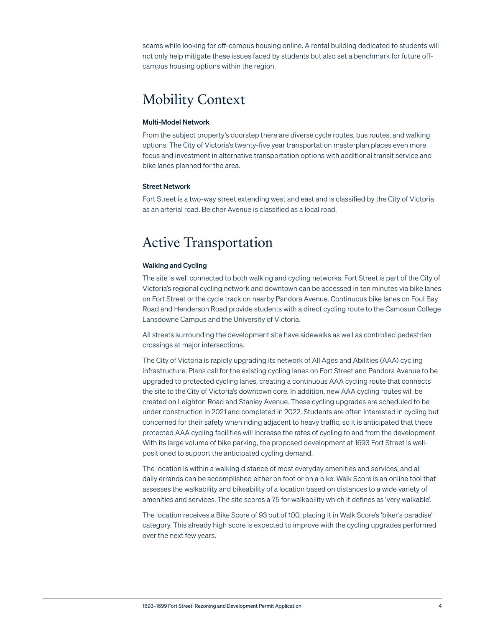scams while looking for off-campus housing online. A rental building dedicated to students will not only help mitigate these issues faced by students but also set a benchmark for future offcampus housing options within the region.

# Mobility Context

## Multi-Model Network

From the subject property's doorstep there are diverse cycle routes, bus routes, and walking options. The City of Victoria's twenty-five year transportation masterplan places even more focus and investment in alternative transportation options with additional transit service and bike lanes planned for the area.

#### Street Network

Fort Street is a two-way street extending west and east and is classified by the City of Victoria as an arterial road. Belcher Avenue is classified as a local road.

# Active Transportation

## Walking and Cycling

The site is well connected to both walking and cycling networks. Fort Street is part of the City of Victoria's regional cycling network and downtown can be accessed in ten minutes via bike lanes on Fort Street or the cycle track on nearby Pandora Avenue. Continuous bike lanes on Foul Bay Road and Henderson Road provide students with a direct cycling route to the Camosun College Lansdowne Campus and the University of Victoria.

All streets surrounding the development site have sidewalks as well as controlled pedestrian crossings at major intersections.

The City of Victoria is rapidly upgrading its network of All Ages and Abilities (AAA) cycling infrastructure. Plans call for the existing cycling lanes on Fort Street and Pandora Avenue to be upgraded to protected cycling lanes, creating a continuous AAA cycling route that connects the site to the City of Victoria's downtown core. In addition, new AAA cycling routes will be created on Leighton Road and Stanley Avenue. These cycling upgrades are scheduled to be under construction in 2021 and completed in 2022. Students are often interested in cycling but concerned for their safety when riding adjacent to heavy traffic, so it is anticipated that these protected AAA cycling facilities will increase the rates of cycling to and from the development. With its large volume of bike parking, the proposed development at 1693 Fort Street is wellpositioned to support the anticipated cycling demand.

The location is within a walking distance of most everyday amenities and services, and all daily errands can be accomplished either on foot or on a bike. Walk Score is an online tool that assesses the walkability and bikeability of a location based on distances to a wide variety of amenities and services. The site scores a 75 for walkability which it defines as 'very walkable'.

The location receives a Bike Score of 93 out of 100, placing it in Walk Score's 'biker's paradise' category. This already high score is expected to improve with the cycling upgrades performed over the next few years.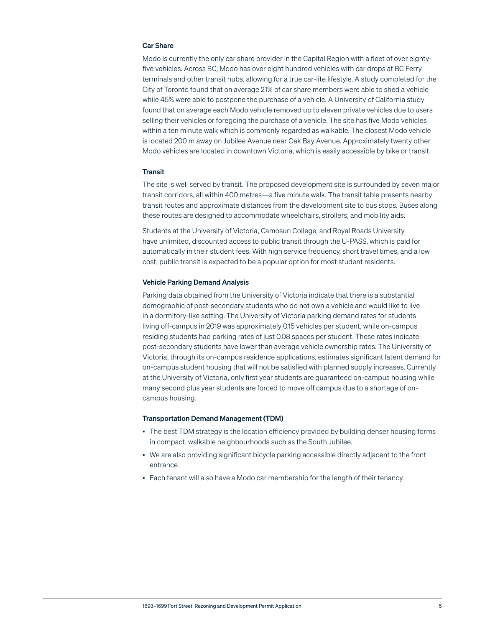#### Car Share

Modo is currently the only car share provider in the Capital Region with a fleet of over eightyfive vehicles. Across BC, Modo has over eight hundred vehicles with car drops at BC Ferry terminals and other transit hubs, allowing for a true car-lite lifestyle. A study completed for the City of Toronto found that on average 21% of car share members were able to shed a vehicle while 45% were able to postpone the purchase of a vehicle. A University of California study found that on average each Modo vehicle removed up to eleven private vehicles due to users selling their vehicles or foregoing the purchase of a vehicle. The site has five Modo vehicles within a ten minute walk which is commonly regarded as walkable. The closest Modo vehicle is located 200 m away on Jubilee Avenue near Oak Bay Avenue. Approximately twenty other Modo vehicles are located in downtown Victoria, which is easily accessible by bike or transit.

#### **Transit**

The site is well served by transit. The proposed development site is surrounded by seven major transit corridors, all within 400 metres—a five minute walk. The transit table presents nearby transit routes and approximate distances from the development site to bus stops. Buses along these routes are designed to accommodate wheelchairs, strollers, and mobility aids.

Students at the University of Victoria, Camosun College, and Royal Roads University have unlimited, discounted access to public transit through the U-PASS, which is paid for automatically in their student fees. With high service frequency, short travel times, and a low cost, public transit is expected to be a popular option for most student residents.

#### Vehicle Parking Demand Analysis

Parking data obtained from the University of Victoria indicate that there is a substantial demographic of post-secondary students who do not own a vehicle and would like to live in a dormitory-like setting. The University of Victoria parking demand rates for students living off-campus in 2019 was approximately 0.15 vehicles per student, while on-campus residing students had parking rates of just 0.08 spaces per student. These rates indicate post-secondary students have lower than average vehicle ownership rates. The University of Victoria, through its on-campus residence applications, estimates significant latent demand for on-campus student housing that will not be satisfied with planned supply increases. Currently at the University of Victoria, only first year students are guaranteed on-campus housing while many second plus year students are forced to move off campus due to a shortage of oncampus housing.

#### Transportation Demand Management (TDM)

- The best TDM strategy is the location efficiency provided by building denser housing forms in compact, walkable neighbourhoods such as the South Jubilee.
- We are also providing significant bicycle parking accessible directly adjacent to the front entrance.
- Each tenant will also have a Modo car membership for the length of their tenancy.